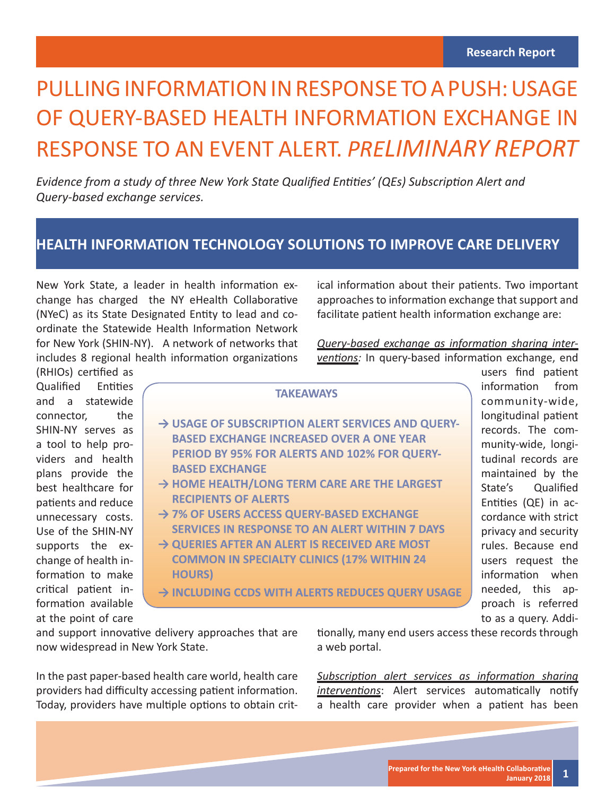# PULLING INFORMATION IN RESPONSE TO A PUSH: USAGE OF QUERY-BASED HEALTH INFORMATION EXCHANGE IN RESPONSE TO AN EVENT ALERT. *PRELIMINARY REPORT*

*Evidence from a study of three New York State Qualified Entities' (QEs) Subscription Alert and Query-based exchange services.* 

#### **HEALTH INFORMATION TECHNOLOGY SOLUTIONS TO IMPROVE CARE DELIVERY**

New York State, a leader in health information exchange has charged the NY eHealth Collaborative (NYeC) as its State Designated Entity to lead and coordinate the Statewide Health Information Network for New York (SHIN-NY). A network of networks that includes 8 regional health information organizations ical information about their patients. Two important approaches to information exchange that support and facilitate patient health information exchange are:

Query-based exchange as information sharing interventions: In query-based information exchange, end

(RHIOs) certified as Qualified Entities and a statewide connector, the SHIN-NY serves as a tool to help providers and health plans provide the best healthcare for patients and reduce unnecessary costs. Use of the SHIN-NY supports the exchange of health information to make critical patient information available at the point of care

|                                                              | users find patient   |
|--------------------------------------------------------------|----------------------|
| <b>TAKEAWAYS</b>                                             | information from     |
|                                                              | community-wide,      |
| → USAGE OF SUBSCRIPTION ALERT SERVICES AND QUERY-            | longitudinal patient |
|                                                              | records. The com-    |
| <b>BASED EXCHANGE INCREASED OVER A ONE YEAR</b>              | munity-wide, longi-  |
| PERIOD BY 95% FOR ALERTS AND 102% FOR QUERY-                 | tudinal records are  |
| <b>BASED EXCHANGE</b>                                        | maintained by the    |
| $\rightarrow$ HOME HEALTH/LONG TERM CARE ARE THE LARGEST     | State's Qualified    |
| <b>RECIPIENTS OF ALERTS</b>                                  | Entities (QE) in ac- |
| → 7% OF USERS ACCESS QUERY-BASED EXCHANGE                    | cordance with strict |
| <b>SERVICES IN RESPONSE TO AN ALERT WITHIN 7 DAYS</b>        | privacy and security |
| $\rightarrow$ QUERIES AFTER AN ALERT IS RECEIVED ARE MOST    | rules. Because end   |
| <b>COMMON IN SPECIALTY CLINICS (17% WITHIN 24</b>            | users request the    |
| <b>HOURS</b> )                                               | information when     |
|                                                              | needed, this ap-     |
| $\rightarrow$ INCLUDING CCDS WITH ALERTS REDUCES QUERY USAGE | proach is referred   |
|                                                              |                      |

and support innovative delivery approaches that are now widespread in New York State.

In the past paper-based health care world, health care providers had difficulty accessing patient information. Today, providers have multiple options to obtain crittionally, many end users access these records through a web portal.

*Subscription alert services as information sharing interventions*: Alert services automatically notify a health care provider when a patient has been

to as a query. Addi-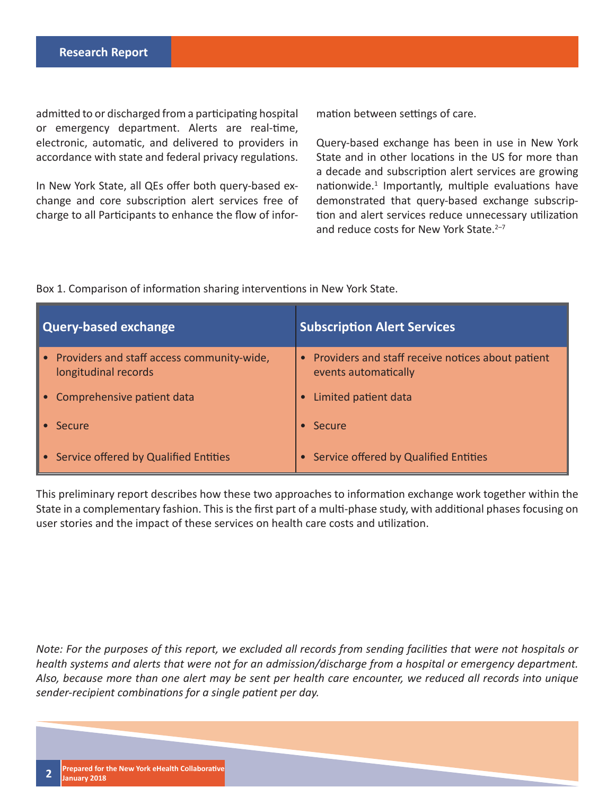admitted to or discharged from a participating hospital or emergency department. Alerts are real-time, electronic, automatic, and delivered to providers in accordance with state and federal privacy regulations.

In New York State, all QEs offer both query-based exchange and core subscription alert services free of charge to all Participants to enhance the flow of information between settings of care.

Query-based exchange has been in use in New York State and in other locations in the US for more than a decade and subscription alert services are growing nationwide.<sup>1</sup> Importantly, multiple evaluations have demonstrated that query-based exchange subscription and alert services reduce unnecessary utilization and reduce costs for New York State.<sup>2-7</sup>

Box 1. Comparison of information sharing interventions in New York State.

| Query-based exchange                                                 | <b>Subscription Alert Services</b>                                          |
|----------------------------------------------------------------------|-----------------------------------------------------------------------------|
| • Providers and staff access community-wide,<br>longitudinal records | • Providers and staff receive notices about patient<br>events automatically |
| • Comprehensive patient data                                         | Limited patient data<br>$\bullet$                                           |
| $\bullet$ Secure                                                     | $\bullet$ Secure                                                            |
| • Service offered by Qualified Entities                              | • Service offered by Qualified Entities                                     |

This preliminary report describes how these two approaches to information exchange work together within the State in a complementary fashion. This is the first part of a multi-phase study, with additional phases focusing on user stories and the impact of these services on health care costs and utilization.

*Note: For the purposes of this report, we excluded all records from sending facilities that were not hospitals or health systems and alerts that were not for an admission/discharge from a hospital or emergency department. Also, because more than one alert may be sent per health care encounter, we reduced all records into unique sender-recipient combinations for a single patient per day.*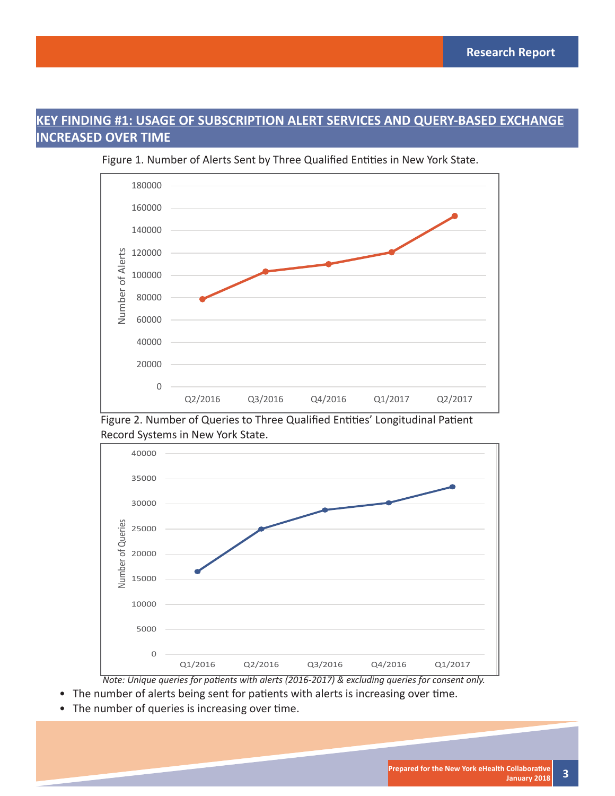### **KEY FINDING #1: USAGE OF SUBSCRIPTION ALERT SERVICES AND QUERY-BASED EXCHANGE INCREASED OVER TIME**



Figure 1. Number of Alerts Sent by Three Qualified Entities in New York State.

Figure 2. Number of Queries to Three Qualified Entities' Longitudinal Patient Record Systems in New York State.



*Note: Unique queries for patients with alerts (2016-2017) & excluding queries for consent only.* 

- The number of alerts being sent for patients with alerts is increasing over time.
- The number of queries is increasing over time.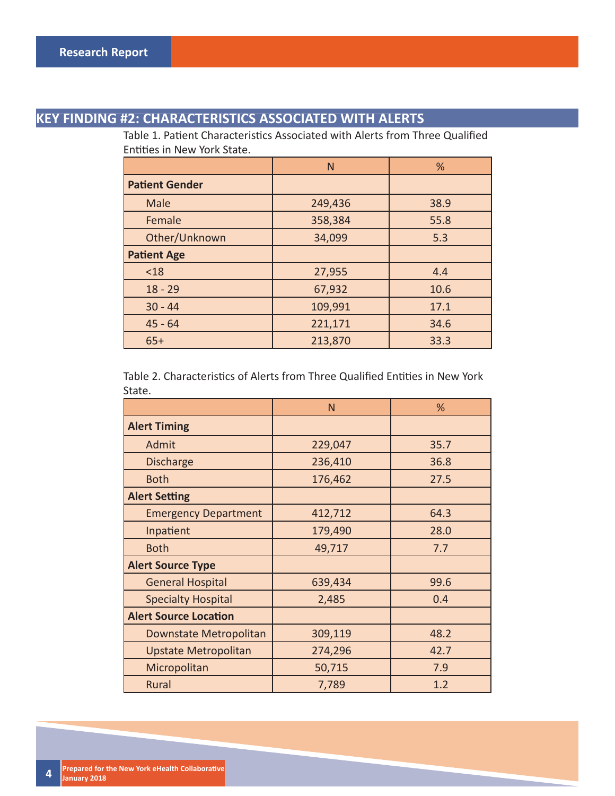### **KEY FINDING #2: CHARACTERISTICS ASSOCIATED WITH ALERTS**

Table 1. Patient Characteristics Associated with Alerts from Three Qualified Entities in New York State.

|                       | N       | %    |
|-----------------------|---------|------|
| <b>Patient Gender</b> |         |      |
| Male                  | 249,436 | 38.9 |
| Female                | 358,384 | 55.8 |
| Other/Unknown         | 34,099  | 5.3  |
| <b>Patient Age</b>    |         |      |
| < 18                  | 27,955  | 4.4  |
| $18 - 29$             | 67,932  | 10.6 |
| $30 - 44$             | 109,991 | 17.1 |
| $45 - 64$             | 221,171 | 34.6 |
| $65+$                 | 213,870 | 33.3 |

Table 2. Characteristics of Alerts from Three Qualified Entities in New York State.

|                              | N       | %    |  |
|------------------------------|---------|------|--|
| <b>Alert Timing</b>          |         |      |  |
| Admit                        | 229,047 | 35.7 |  |
| <b>Discharge</b>             | 236,410 | 36.8 |  |
| <b>Both</b>                  | 176,462 | 27.5 |  |
| <b>Alert Setting</b>         |         |      |  |
| <b>Emergency Department</b>  | 412,712 | 64.3 |  |
| Inpatient                    | 179,490 | 28.0 |  |
| <b>Both</b>                  | 49,717  | 7.7  |  |
| <b>Alert Source Type</b>     |         |      |  |
| <b>General Hospital</b>      | 639,434 | 99.6 |  |
| <b>Specialty Hospital</b>    | 2,485   | 0.4  |  |
| <b>Alert Source Location</b> |         |      |  |
| Downstate Metropolitan       | 309,119 | 48.2 |  |
| Upstate Metropolitan         | 274,296 | 42.7 |  |
| Micropolitan                 | 50,715  | 7.9  |  |
| <b>Rural</b>                 | 7,789   | 1.2  |  |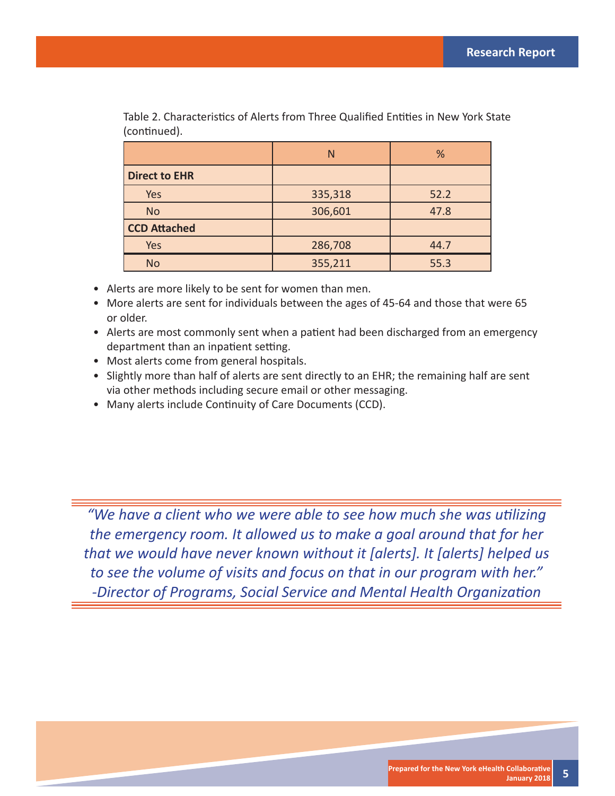|                      | N       | %    |
|----------------------|---------|------|
| <b>Direct to EHR</b> |         |      |
| Yes                  | 335,318 | 52.2 |
| <b>No</b>            | 306,601 | 47.8 |
| <b>CCD Attached</b>  |         |      |
| Yes                  | 286,708 | 44.7 |
| <b>No</b>            | 355,211 | 55.3 |

Table 2. Characteristics of Alerts from Three Qualified Entities in New York State (continued).

- Alerts are more likely to be sent for women than men.
- More alerts are sent for individuals between the ages of 45-64 and those that were 65 or older.
- Alerts are most commonly sent when a patient had been discharged from an emergency department than an inpatient setting.
- Most alerts come from general hospitals.
- Slightly more than half of alerts are sent directly to an EHR; the remaining half are sent via other methods including secure email or other messaging.
- Many alerts include Continuity of Care Documents (CCD).

*"We have a client who we were able to see how much she was utilizing the emergency room. It allowed us to make a goal around that for her that we would have never known without it [alerts]. It [alerts] helped us to see the volume of visits and focus on that in our program with her."*  **-Director of Programs, Social Service and Mental Health Organization**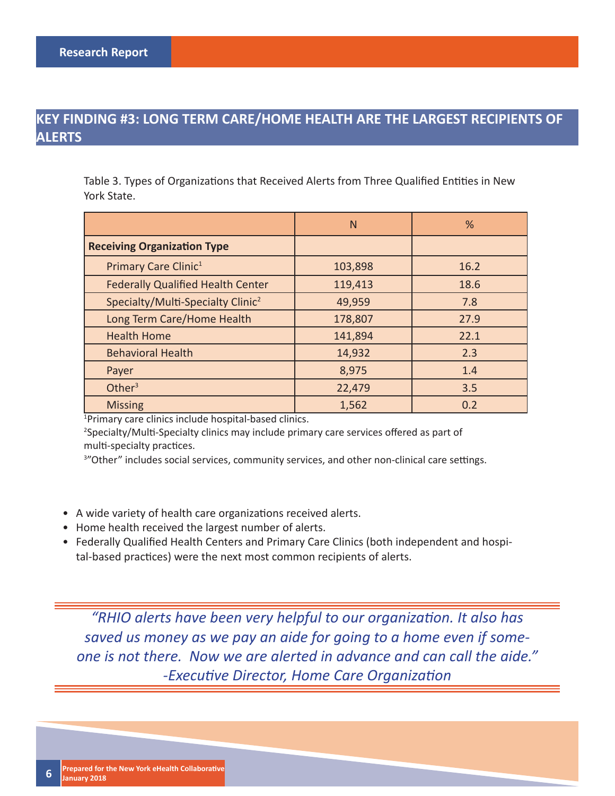### **KEY FINDING #3: LONG TERM CARE/HOME HEALTH ARE THE LARGEST RECIPIENTS OF ALERTS**

Table 3. Types of Organizations that Received Alerts from Three Qualified Entities in New York State.

|                                               | N       | %    |
|-----------------------------------------------|---------|------|
| <b>Receiving Organization Type</b>            |         |      |
| Primary Care Clinic <sup>1</sup>              | 103,898 | 16.2 |
| <b>Federally Qualified Health Center</b>      | 119,413 | 18.6 |
| Specialty/Multi-Specialty Clinic <sup>2</sup> | 49,959  | 7.8  |
| Long Term Care/Home Health                    | 178,807 | 27.9 |
| <b>Health Home</b>                            | 141,894 | 22.1 |
| <b>Behavioral Health</b>                      | 14,932  | 2.3  |
| Payer                                         | 8,975   | 1.4  |
| Other <sup>3</sup>                            | 22,479  | 3.5  |
| <b>Missing</b>                                | 1,562   | 0.2  |

1 Primary care clinics include hospital-based clinics.

<sup>2</sup>Specialty/Multi-Specialty clinics may include primary care services offered as part of multi-specialty practices.

<sup>3</sup>"Other" includes social services, community services, and other non-clinical care settings.

- A wide variety of health care organizations received alerts.
- Home health received the largest number of alerts.
- Federally Qualified Health Centers and Primary Care Clinics (both independent and hospital-based practices) were the next most common recipients of alerts.

*"RHIO alerts have been very helpful to our organization. It also has saved us money as we pay an aide for going to a home even if someone is not there. Now we are alerted in advance and can call the aide."*  **-Executive Director, Home Care Organization**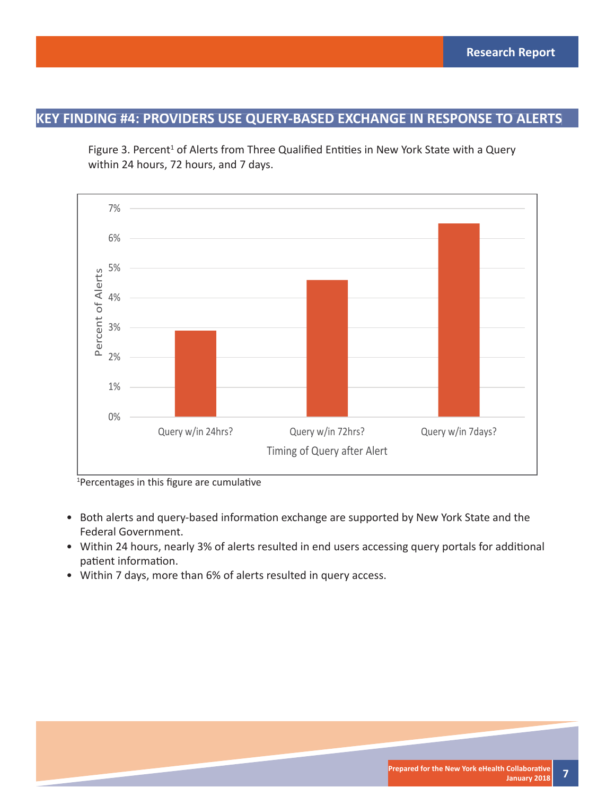Figure 3. Percent<sup>1</sup> of Alerts from Three Qualified Entities in New York State with a Query within 24 hours, 72 hours, and 7 days.



<sup>1</sup>Percentages in this figure are cumulative

- Both alerts and query-based information exchange are supported by New York State and the Federal Government.
- Within 24 hours, nearly 3% of alerts resulted in end users accessing query portals for additional patient information.
- Within 7 days, more than 6% of alerts resulted in query access.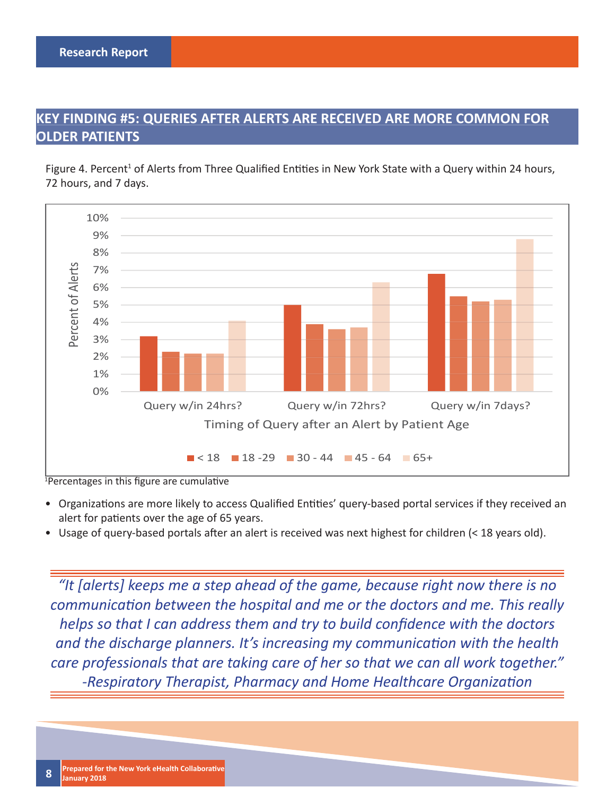### **KEY FINDING #5: QUERIES AFTER ALERTS ARE RECEIVED ARE MORE COMMON FOR OLDER PATIENTS**

Figure 4. Percent<sup>1</sup> of Alerts from Three Qualified Entities in New York State with a Query within 24 hours, 72 hours, and 7 days.



#### <sup>1</sup>Percentages in this figure are cumulative

- Organizations are more likely to access Qualified Entities' query-based portal services if they received an alert for patients over the age of 65 years.
- Usage of query-based portals after an alert is received was next highest for children  $(< 18$  years old).

*"It [alerts] keeps me a step ahead of the game, because right now there is no communication between the hospital and me or the doctors and me. This really helps so that I can address them and try to build confidence with the doctors and the discharge planners. It's increasing my communication with the health care professionals that are taking care of her so that we can all work together."*  **-Respiratory Therapist, Pharmacy and Home Healthcare Organization**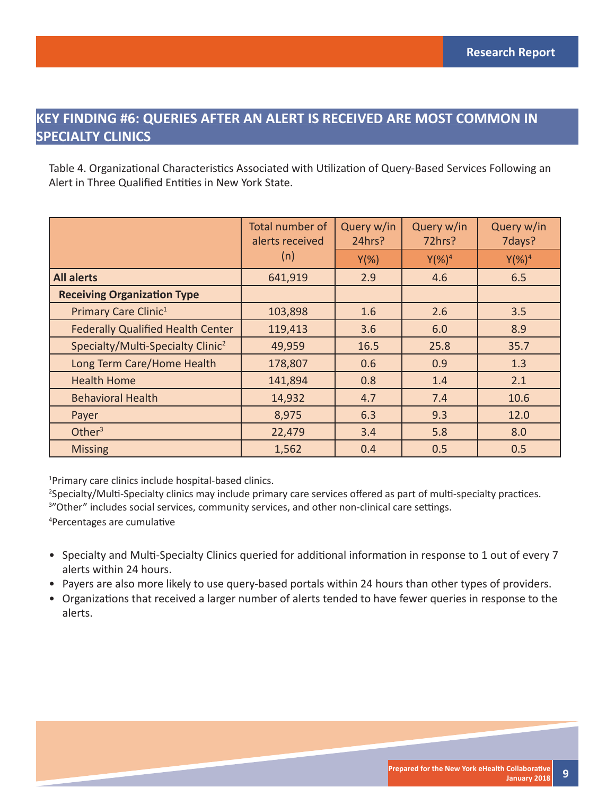### **KEY FINDING #6: QUERIES AFTER AN ALERT IS RECEIVED ARE MOST COMMON IN SPECIALTY CLINICS**

Table 4. Organizational Characteristics Associated with Utilization of Query-Based Services Following an Alert in Three Qualified Entities in New York State.

|                                               | Total number of<br>alerts received | Query w/in<br>24hrs? | Query w/in<br>72hrs? | Query w/in<br>7days? |
|-----------------------------------------------|------------------------------------|----------------------|----------------------|----------------------|
|                                               | (n)                                | $Y(\%)$              | $Y$ (%) <sup>4</sup> | $Y$ (%) <sup>4</sup> |
| <b>All alerts</b>                             | 641,919                            | 2.9                  | 4.6                  | 6.5                  |
| <b>Receiving Organization Type</b>            |                                    |                      |                      |                      |
| Primary Care Clinic <sup>1</sup>              | 103,898                            | 1.6                  | 2.6                  | 3.5                  |
| <b>Federally Qualified Health Center</b>      | 119,413                            | 3.6                  | 6.0                  | 8.9                  |
| Specialty/Multi-Specialty Clinic <sup>2</sup> | 49,959                             | 16.5                 | 25.8                 | 35.7                 |
| Long Term Care/Home Health                    | 178,807                            | 0.6                  | 0.9                  | 1.3                  |
| <b>Health Home</b>                            | 141,894                            | 0.8                  | 1.4                  | 2.1                  |
| <b>Behavioral Health</b>                      | 14,932                             | 4.7                  | 7.4                  | 10.6                 |
| Payer                                         | 8,975                              | 6.3                  | 9.3                  | 12.0                 |
| Other $3$                                     | 22,479                             | 3.4                  | 5.8                  | 8.0                  |
| <b>Missing</b>                                | 1,562                              | 0.4                  | 0.5                  | 0.5                  |

1 Primary care clinics include hospital-based clinics.

<sup>2</sup>Specialty/Multi-Specialty clinics may include primary care services offered as part of multi-specialty practices.

<sup>3</sup>"Other" includes social services, community services, and other non-clinical care settings.

<sup>4</sup>Percentages are cumulative

- Specialty and Multi-Specialty Clinics queried for additional information in response to 1 out of every 7 alerts within 24 hours.
- Payers are also more likely to use query-based portals within 24 hours than other types of providers.
- Organizations that received a larger number of alerts tended to have fewer queries in response to the alerts.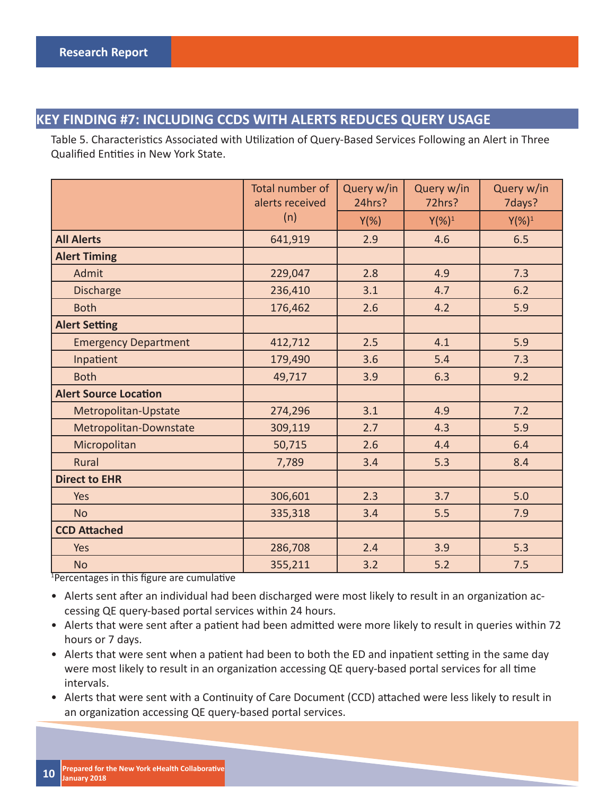#### **KEY FINDING #7: INCLUDING CCDS WITH ALERTS REDUCES QUERY USAGE**

Table 5. Characteristics Associated with Utilization of Query-Based Services Following an Alert in Three Qualified Entities in New York State.

|                              | Total number of<br>alerts received | Query w/in<br>24hrs? | Query w/in<br>72hrs? | Query w/in<br>7days? |
|------------------------------|------------------------------------|----------------------|----------------------|----------------------|
|                              | (n)                                | $Y(\%)$              | $Y(\%)^1$            | $Y(\%)^1$            |
| <b>All Alerts</b>            | 641,919                            | 2.9                  | 4.6                  | 6.5                  |
| <b>Alert Timing</b>          |                                    |                      |                      |                      |
| Admit                        | 229,047                            | 2.8                  | 4.9                  | 7.3                  |
| <b>Discharge</b>             | 236,410                            | 3.1                  | 4.7                  | 6.2                  |
| <b>Both</b>                  | 176,462                            | 2.6                  | 4.2                  | 5.9                  |
| <b>Alert Setting</b>         |                                    |                      |                      |                      |
| <b>Emergency Department</b>  | 412,712                            | 2.5                  | 4.1                  | 5.9                  |
| Inpatient                    | 179,490                            | 3.6                  | 5.4                  | 7.3                  |
| <b>Both</b>                  | 49,717                             | 3.9                  | 6.3                  | 9.2                  |
| <b>Alert Source Location</b> |                                    |                      |                      |                      |
| Metropolitan-Upstate         | 274,296                            | 3.1                  | 4.9                  | 7.2                  |
| Metropolitan-Downstate       | 309,119                            | 2.7                  | 4.3                  | 5.9                  |
| Micropolitan                 | 50,715                             | 2.6                  | 4.4                  | 6.4                  |
| Rural                        | 7,789                              | 3.4                  | 5.3                  | 8.4                  |
| <b>Direct to EHR</b>         |                                    |                      |                      |                      |
| Yes                          | 306,601                            | 2.3                  | 3.7                  | 5.0                  |
| <b>No</b>                    | 335,318                            | 3.4                  | 5.5                  | 7.9                  |
| <b>CCD Attached</b>          |                                    |                      |                      |                      |
| Yes                          | 286,708                            | 2.4                  | 3.9                  | 5.3                  |
| <b>No</b>                    | 355,211                            | 3.2                  | 5.2                  | 7.5                  |

<sup>1</sup>Percentages in this figure are cumulative

• Alerts sent after an individual had been discharged were most likely to result in an organization accessing QE query-based portal services within 24 hours.

- Alerts that were sent after a patient had been admitted were more likely to result in queries within 72 hours or 7 days.
- Alerts that were sent when a patient had been to both the ED and inpatient setting in the same day were most likely to result in an organization accessing QE query-based portal services for all time intervals.
- Alerts that were sent with a Continuity of Care Document (CCD) attached were less likely to result in an organization accessing QE query-based portal services.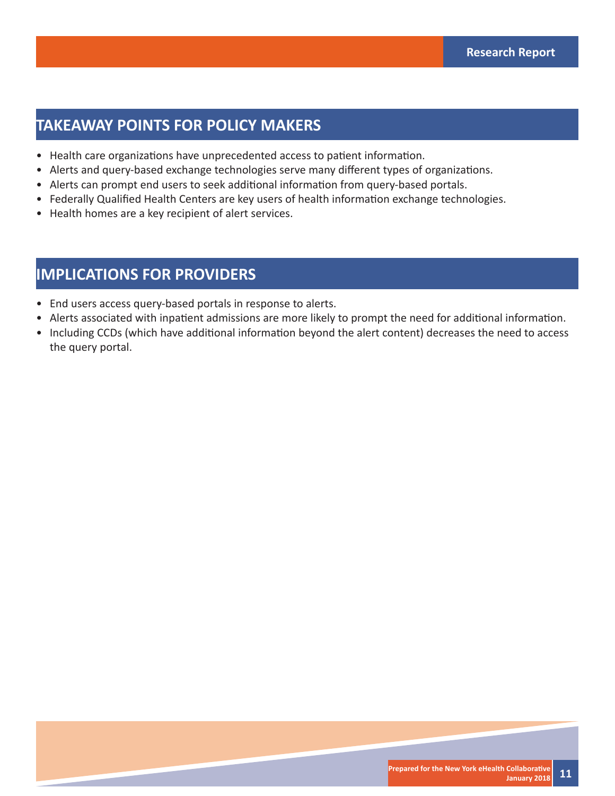### **TAKEAWAY POINTS FOR POLICY MAKERS**

- Health care organizations have unprecedented access to patient information.
- Alerts and query-based exchange technologies serve many different types of organizations.
- Alerts can prompt end users to seek additional information from query-based portals.
- Federally Qualified Health Centers are key users of health information exchange technologies.
- Health homes are a key recipient of alert services.

### **IMPLICATIONS FOR PROVIDERS**

- End users access query-based portals in response to alerts.
- Alerts associated with inpatient admissions are more likely to prompt the need for additional information.
- Including CCDs (which have additional information beyond the alert content) decreases the need to access the query portal.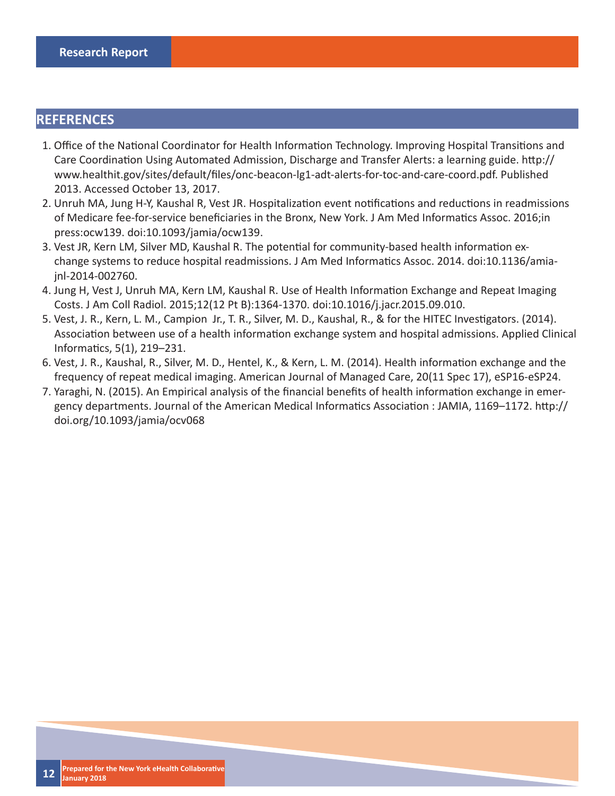#### **REFERENCES**

- 1. Office of the National Coordinator for Health Information Technology. Improving Hospital Transitions and Care Coordination Using Automated Admission, Discharge and Transfer Alerts: a learning guide. http:// www.healthit.gov/sites/default/fi les/onc-beacon-lg1-adt-alerts-for-toc-and-care-coord.pdf. Published 2013. Accessed October 13, 2017.
- 2. Unruh MA, Jung H-Y, Kaushal R, Vest JR. Hospitalization event notifications and reductions in readmissions of Medicare fee-for-service beneficiaries in the Bronx, New York. J Am Med Informatics Assoc. 2016;in press:ocw139. doi:10.1093/jamia/ocw139.
- 3. Vest JR, Kern LM, Silver MD, Kaushal R. The potential for community-based health information exchange systems to reduce hospital readmissions. J Am Med Informatics Assoc. 2014. doi:10.1136/amiajnl-2014-002760.
- 4. Jung H, Vest J, Unruh MA, Kern LM, Kaushal R. Use of Health Information Exchange and Repeat Imaging Costs. J Am Coll Radiol. 2015;12(12 Pt B):1364-1370. doi:10.1016/j.jacr.2015.09.010.
- 5. Vest, J. R., Kern, L. M., Campion Jr., T. R., Silver, M. D., Kaushal, R., & for the HITEC Investigators. (2014). Association between use of a health information exchange system and hospital admissions. Applied Clinical Informatics, 5(1), 219-231.
- 6. Vest, J. R., Kaushal, R., Silver, M. D., Hentel, K., & Kern, L. M. (2014). Health information exchange and the frequency of repeat medical imaging. American Journal of Managed Care, 20(11 Spec 17), eSP16-eSP24.
- 7. Yaraghi, N. (2015). An Empirical analysis of the financial benefits of health information exchange in emergency departments. Journal of the American Medical Informatics Association : JAMIA, 1169–1172. http:// doi.org/10.1093/jamia/ocv068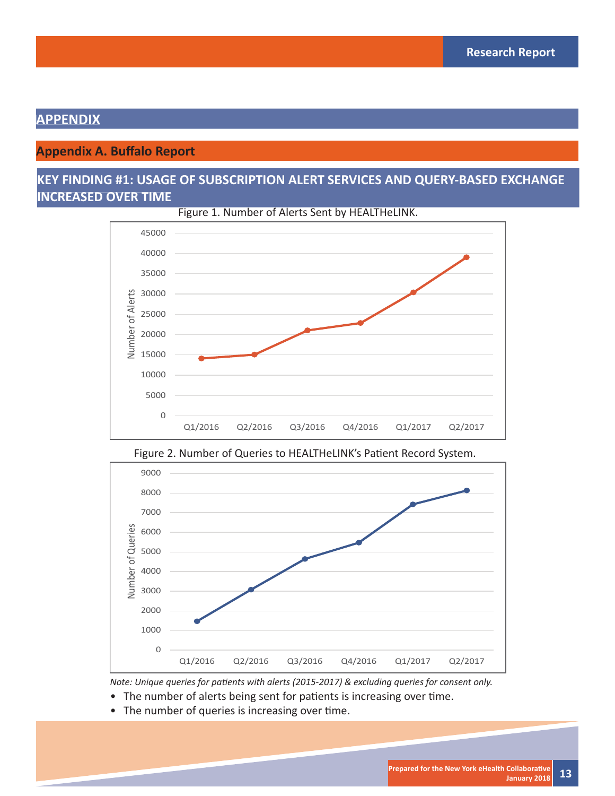### **APPENDIX**

### **Appendix A. Buffalo Report**

### **KEY FINDING #1: USAGE OF SUBSCRIPTION ALERT SERVICES AND QUERY-BASED EXCHANGE INCREASED OVER TIME**









*Note: Unique queries for patients with alerts (2015-2017) & excluding queries for consent only.* 

- The number of alerts being sent for patients is increasing over time.
- The number of queries is increasing over time.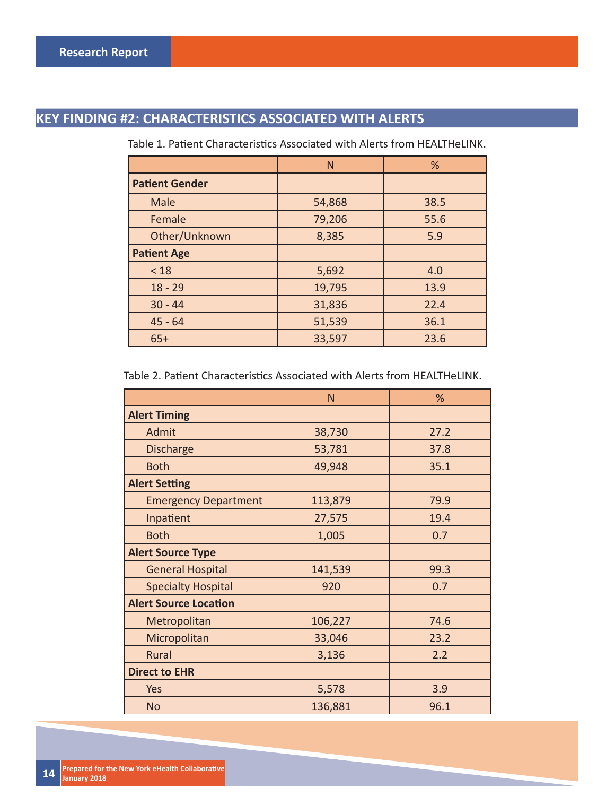## **KEY FINDING #2: CHARACTERISTICS ASSOCIATED WITH ALERTS**

|                       | N      | %    |  |
|-----------------------|--------|------|--|
| <b>Patient Gender</b> |        |      |  |
| Male                  | 54,868 | 38.5 |  |
| Female                | 79,206 | 55.6 |  |
| Other/Unknown         | 8,385  | 5.9  |  |
| <b>Patient Age</b>    |        |      |  |
| < 18                  | 5,692  | 4.0  |  |
| $18 - 29$             | 19,795 | 13.9 |  |
| $30 - 44$             | 31,836 | 22.4 |  |
| $45 - 64$             | 51,539 | 36.1 |  |
| $65+$                 | 33,597 | 23.6 |  |

Table 1. Patient Characteristics Associated with Alerts from HEALTHeLINK.

Table 2. Patient Characteristics Associated with Alerts from HEALTHeLINK.

|                              | N       | %    |
|------------------------------|---------|------|
| <b>Alert Timing</b>          |         |      |
| Admit                        | 38,730  | 27.2 |
| <b>Discharge</b>             | 53,781  | 37.8 |
| <b>Both</b>                  | 49,948  | 35.1 |
| <b>Alert Setting</b>         |         |      |
| <b>Emergency Department</b>  | 113,879 | 79.9 |
| Inpatient                    | 27,575  | 19.4 |
| <b>Both</b>                  | 1,005   | 0.7  |
| <b>Alert Source Type</b>     |         |      |
| <b>General Hospital</b>      | 141,539 | 99.3 |
| <b>Specialty Hospital</b>    | 920     | 0.7  |
| <b>Alert Source Location</b> |         |      |
| Metropolitan                 | 106,227 | 74.6 |
| Micropolitan                 | 33,046  | 23.2 |
| Rural                        | 3,136   | 2.2  |
| <b>Direct to EHR</b>         |         |      |
| Yes                          | 5,578   | 3.9  |
| <b>No</b>                    | 136,881 | 96.1 |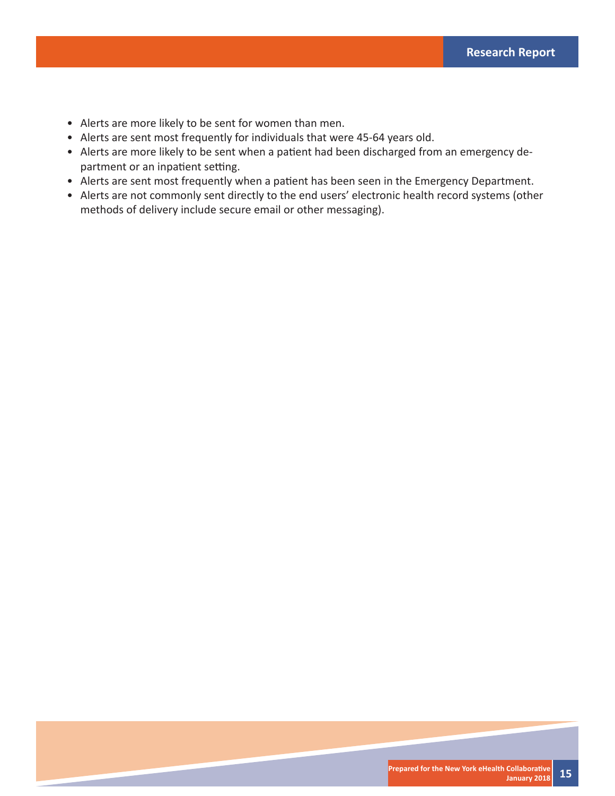- Alerts are more likely to be sent for women than men.
- Alerts are sent most frequently for individuals that were 45-64 years old.
- Alerts are more likely to be sent when a patient had been discharged from an emergency department or an inpatient setting.
- Alerts are sent most frequently when a patient has been seen in the Emergency Department.
- Alerts are not commonly sent directly to the end users' electronic health record systems (other methods of delivery include secure email or other messaging).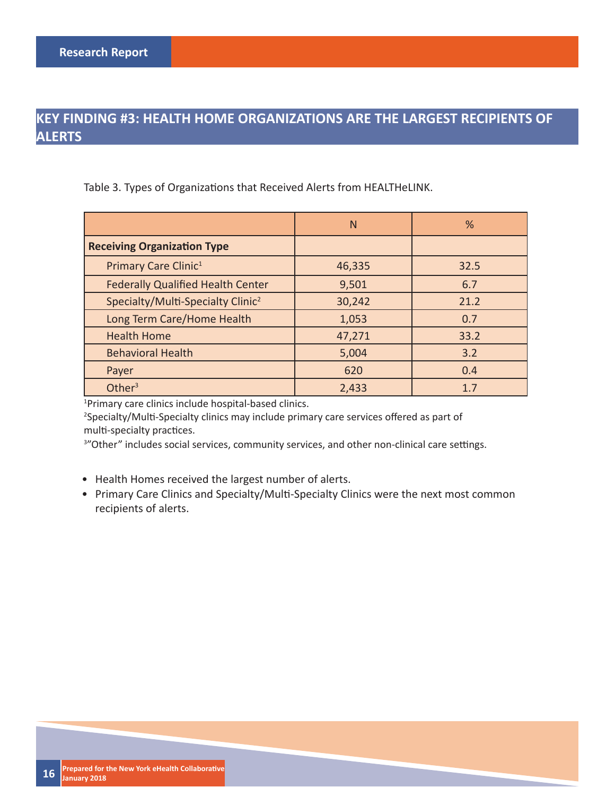### **KEY FINDING #3: HEALTH HOME ORGANIZATIONS ARE THE LARGEST RECIPIENTS OF ALERTS**

Table 3. Types of Organizations that Received Alerts from HEALTHeLINK.

|                                               | N      | %    |
|-----------------------------------------------|--------|------|
| <b>Receiving Organization Type</b>            |        |      |
| Primary Care Clinic <sup>1</sup>              | 46,335 | 32.5 |
| <b>Federally Qualified Health Center</b>      | 9,501  | 6.7  |
| Specialty/Multi-Specialty Clinic <sup>2</sup> | 30,242 | 21.2 |
| Long Term Care/Home Health                    | 1,053  | 0.7  |
| <b>Health Home</b>                            | 47,271 | 33.2 |
| <b>Behavioral Health</b>                      | 5,004  | 3.2  |
| Payer                                         | 620    | 0.4  |
| Other $3$                                     | 2,433  | 1.7  |

1 Primary care clinics include hospital-based clinics.

<sup>2</sup>Specialty/Multi-Specialty clinics may include primary care services offered as part of multi-specialty practices.

<sup>3</sup>"Other" includes social services, community services, and other non-clinical care settings.

- Health Homes received the largest number of alerts.
- Primary Care Clinics and Specialty/Multi-Specialty Clinics were the next most common recipients of alerts.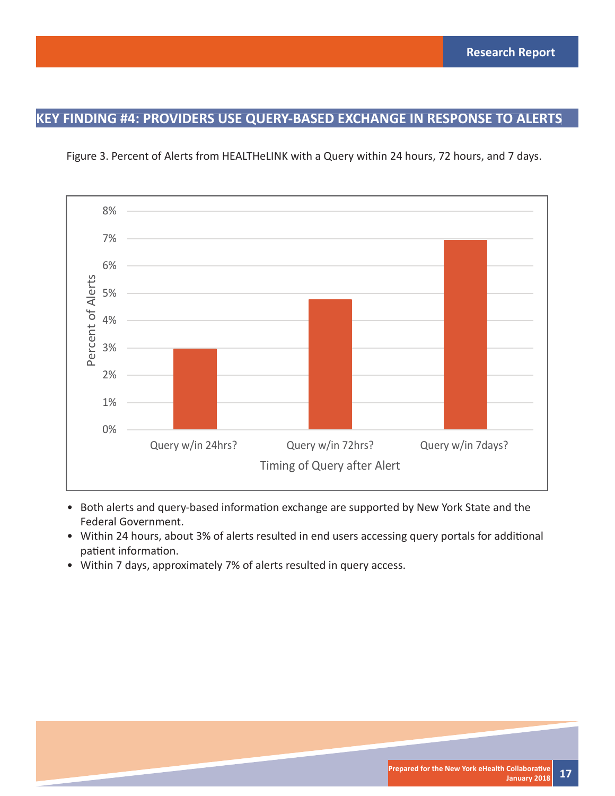### **KEY FINDING #4: PROVIDERS USE QUERY-BASED EXCHANGE IN RESPONSE TO ALERTS**





- Both alerts and query-based information exchange are supported by New York State and the Federal Government.
- Within 24 hours, about 3% of alerts resulted in end users accessing query portals for additional patient information.
- Within 7 days, approximately 7% of alerts resulted in query access.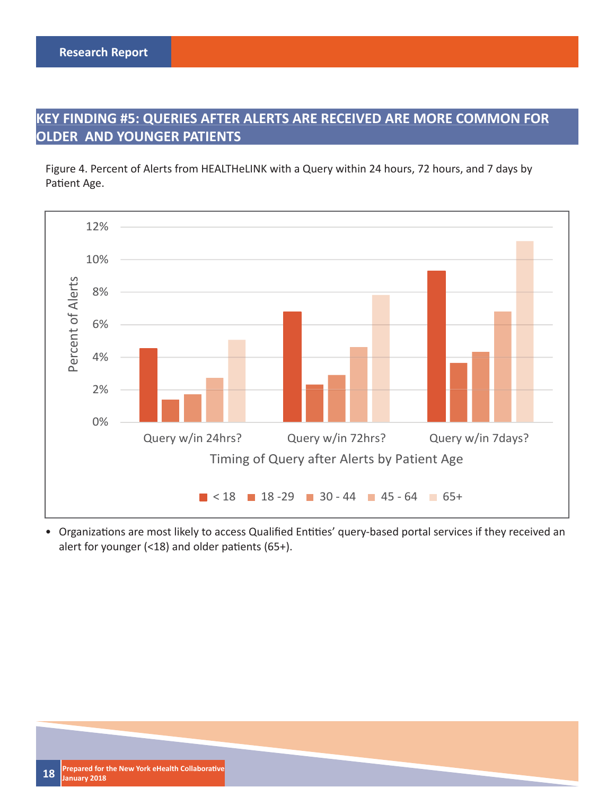### **KEY FINDING #5: QUERIES AFTER ALERTS ARE RECEIVED ARE MORE COMMON FOR OLDER AND YOUNGER PATIENTS**

Figure 4. Percent of Alerts from HEALTHeLINK with a Query within 24 hours, 72 hours, and 7 days by Patient Age.



• Organizations are most likely to access Qualified Entities' query-based portal services if they received an alert for younger (<18) and older patients (65+).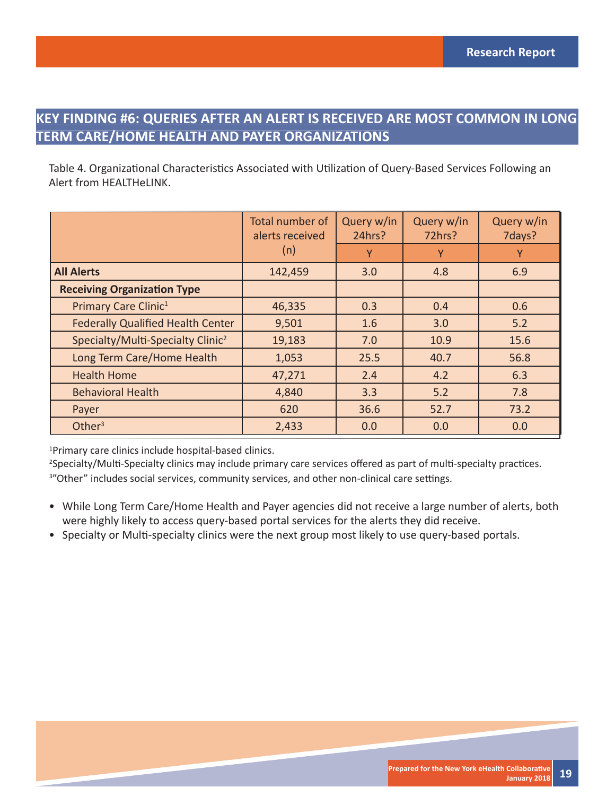### **KEY FINDING #6: QUERIES AFTER AN ALERT IS RECEIVED ARE MOST COMMON IN LONG TERM CARE/HOME HEALTH AND PAYER ORGANIZATIONS**

Table 4. Organizational Characteristics Associated with Utilization of Query-Based Services Following an Alert from HEALTHeLINK.

|                                               | Total number of<br>alerts received | Query w/in<br>24hrs? | Query w/in<br>72hrs? | Query w/in<br>7days? |
|-----------------------------------------------|------------------------------------|----------------------|----------------------|----------------------|
|                                               | (n)                                | Y                    | Υ                    | Y                    |
| <b>All Alerts</b>                             | 142,459                            | 3.0                  | 4.8                  | 6.9                  |
| <b>Receiving Organization Type</b>            |                                    |                      |                      |                      |
| Primary Care Clinic <sup>1</sup>              | 46,335                             | 0.3                  | 0.4                  | 0.6                  |
| <b>Federally Qualified Health Center</b>      | 9,501                              | 1.6                  | 3.0                  | 5.2                  |
| Specialty/Multi-Specialty Clinic <sup>2</sup> | 19,183                             | 7.0                  | 10.9                 | 15.6                 |
| Long Term Care/Home Health                    | 1,053                              | 25.5                 | 40.7                 | 56.8                 |
| <b>Health Home</b>                            | 47,271                             | 2.4                  | 4.2                  | 6.3                  |
| <b>Behavioral Health</b>                      | 4,840                              | 3.3                  | 5.2                  | 7.8                  |
| Payer                                         | 620                                | 36.6                 | 52.7                 | 73.2                 |
| Other $3$                                     | 2,433                              | 0.0                  | 0.0                  | 0.0                  |

1 Primary care clinics include hospital-based clinics.

<sup>2</sup>Specialty/Multi-Specialty clinics may include primary care services offered as part of multi-specialty practices. <sup>3</sup>"Other" includes social services, community services, and other non-clinical care settings.

- While Long Term Care/Home Health and Payer agencies did not receive a large number of alerts, both were highly likely to access query-based portal services for the alerts they did receive.
- Specialty or Multi-specialty clinics were the next group most likely to use query-based portals.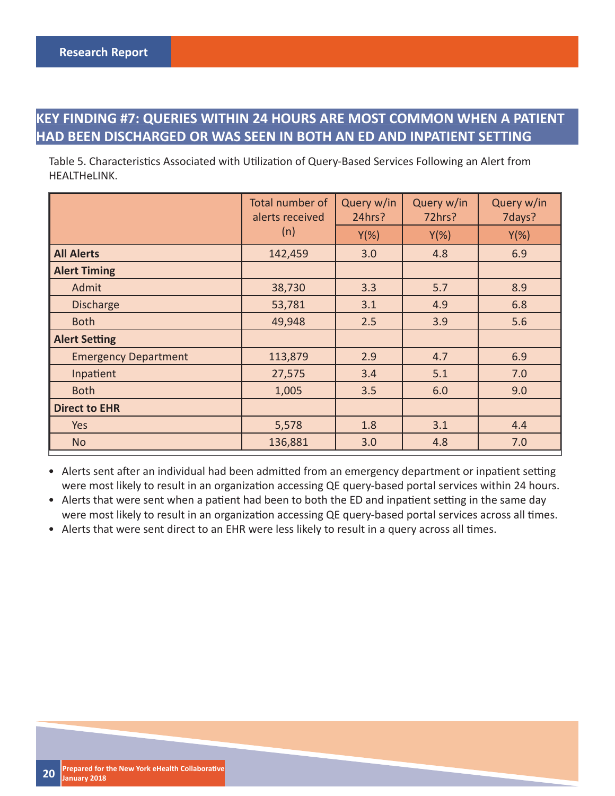### **KEY FINDING #7: QUERIES WITHIN 24 HOURS ARE MOST COMMON WHEN A PATIENT HAD BEEN DISCHARGED OR WAS SEEN IN BOTH AN ED AND INPATIENT SETTING**

Table 5. Characteristics Associated with Utilization of Query-Based Services Following an Alert from HEALTHeLINK.

|                             | Total number of<br>alerts received | Query w/in<br>24hrs? | Query w/in<br>72hrs? | Query w/in<br>7days? |
|-----------------------------|------------------------------------|----------------------|----------------------|----------------------|
|                             | (n)                                | $Y(\%)$              | $Y(\%)$              | $Y(\%)$              |
| <b>All Alerts</b>           | 142,459                            | 3.0                  | 4.8                  | 6.9                  |
| <b>Alert Timing</b>         |                                    |                      |                      |                      |
| Admit                       | 38,730                             | 3.3                  | 5.7                  | 8.9                  |
| <b>Discharge</b>            | 53,781                             | 3.1                  | 4.9                  | 6.8                  |
| <b>Both</b>                 | 49,948                             | 2.5                  | 3.9                  | 5.6                  |
| <b>Alert Setting</b>        |                                    |                      |                      |                      |
| <b>Emergency Department</b> | 113,879                            | 2.9                  | 4.7                  | 6.9                  |
| Inpatient                   | 27,575                             | 3.4                  | 5.1                  | 7.0                  |
| <b>Both</b>                 | 1,005                              | 3.5                  | 6.0                  | 9.0                  |
| <b>Direct to EHR</b>        |                                    |                      |                      |                      |
| Yes                         | 5,578                              | 1.8                  | 3.1                  | 4.4                  |
| <b>No</b>                   | 136,881                            | 3.0                  | 4.8                  | 7.0                  |

• Alerts sent after an individual had been admitted from an emergency department or inpatient setting were most likely to result in an organization accessing QE query-based portal services within 24 hours.

• Alerts that were sent when a patient had been to both the ED and inpatient setting in the same day were most likely to result in an organization accessing QE query-based portal services across all times.

• Alerts that were sent direct to an EHR were less likely to result in a query across all times.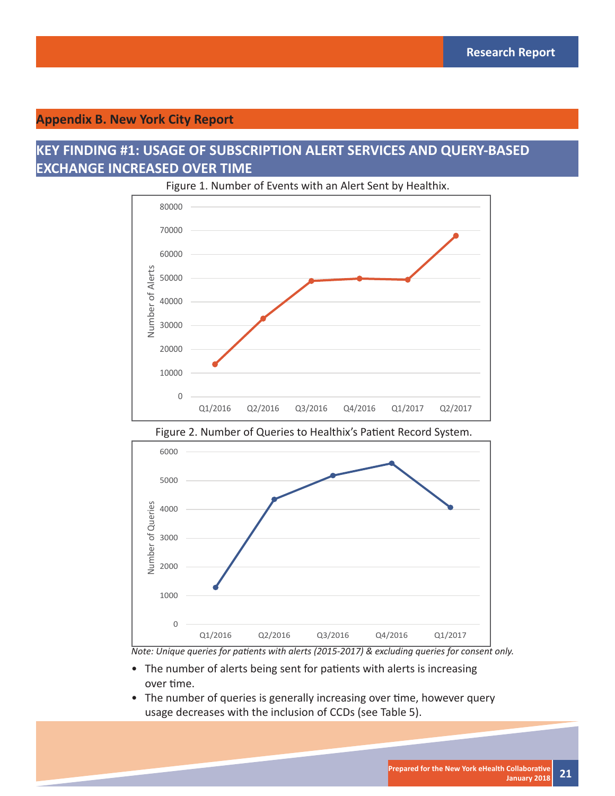#### **Appendix B. New York City Report**

0

1000

### **KEY FINDING #1: USAGE OF SUBSCRIPTION ALERT SERVICES AND QUERY-BASED EXCHANGE INCREASED OVER TIME**



Figure 1. Number of Events with an Alert Sent by Healthix.



Figure 2. Number of Queries to Healthix's Patient Record System.

*Note: Unique queries for patients with alerts (2015-2017) & excluding queries for consent only.* 

Q1/2016 Q2/2016 Q3/2016 Q4/2016 Q1/2017

- The number of alerts being sent for patients with alerts is increasing over time.
- The number of queries is generally increasing over time, however query usage decreases with the inclusion of CCDs (see Table 5).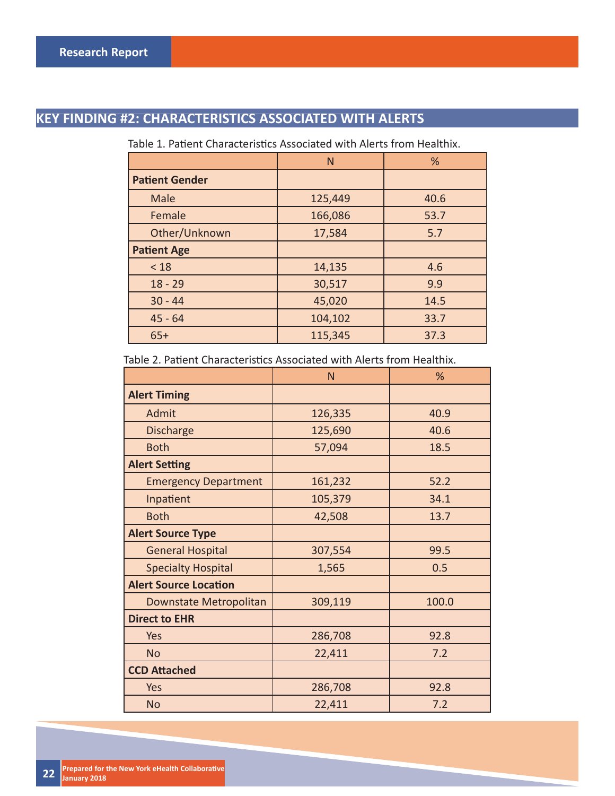### **KEY FINDING #2: CHARACTERISTICS ASSOCIATED WITH ALERTS**

Table 1. Patient Characteristics Associated with Alerts from Healthix.

|                       | N       | %    |
|-----------------------|---------|------|
| <b>Patient Gender</b> |         |      |
| Male                  | 125,449 | 40.6 |
| Female                | 166,086 | 53.7 |
| Other/Unknown         | 17,584  | 5.7  |
| <b>Patient Age</b>    |         |      |
| < 18                  | 14,135  | 4.6  |
| $18 - 29$             | 30,517  | 9.9  |
| $30 - 44$             | 45,020  | 14.5 |
| $45 - 64$             | 104,102 | 33.7 |
| $65+$                 | 115,345 | 37.3 |

Table 2. Patient Characteristics Associated with Alerts from Healthix.

|                              | N       | %     |
|------------------------------|---------|-------|
| <b>Alert Timing</b>          |         |       |
| Admit                        | 126,335 | 40.9  |
| <b>Discharge</b>             | 125,690 | 40.6  |
| <b>Both</b>                  | 57,094  | 18.5  |
| <b>Alert Setting</b>         |         |       |
| <b>Emergency Department</b>  | 161,232 | 52.2  |
| Inpatient                    | 105,379 | 34.1  |
| <b>Both</b>                  | 42,508  | 13.7  |
| <b>Alert Source Type</b>     |         |       |
| <b>General Hospital</b>      | 307,554 | 99.5  |
| <b>Specialty Hospital</b>    | 1,565   | 0.5   |
| <b>Alert Source Location</b> |         |       |
| Downstate Metropolitan       | 309,119 | 100.0 |
| <b>Direct to EHR</b>         |         |       |
| Yes                          | 286,708 | 92.8  |
| <b>No</b>                    | 22,411  | 7.2   |
| <b>CCD Attached</b>          |         |       |
| Yes                          | 286,708 | 92.8  |
| <b>No</b>                    | 22,411  | 7.2   |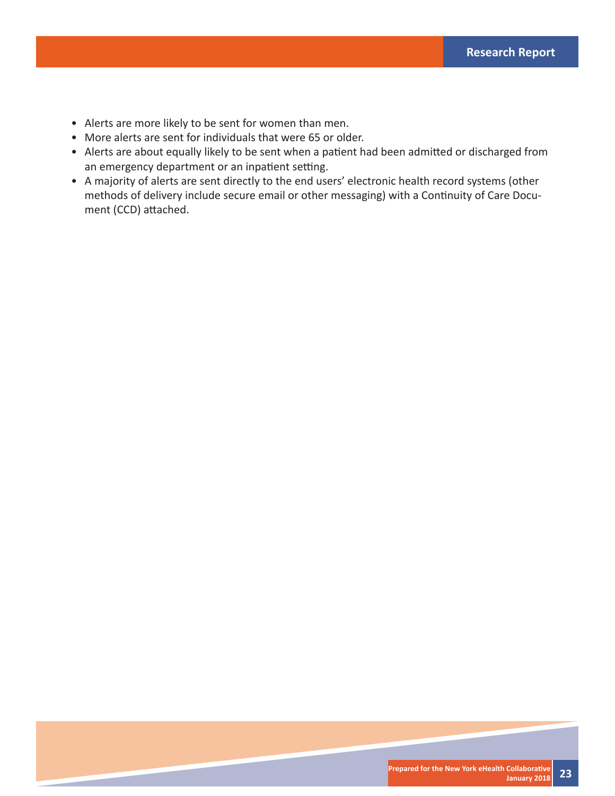- Alerts are more likely to be sent for women than men.
- More alerts are sent for individuals that were 65 or older.
- Alerts are about equally likely to be sent when a patient had been admitted or discharged from an emergency department or an inpatient setting.
- A majority of alerts are sent directly to the end users' electronic health record systems (other methods of delivery include secure email or other messaging) with a Continuity of Care Document (CCD) attached.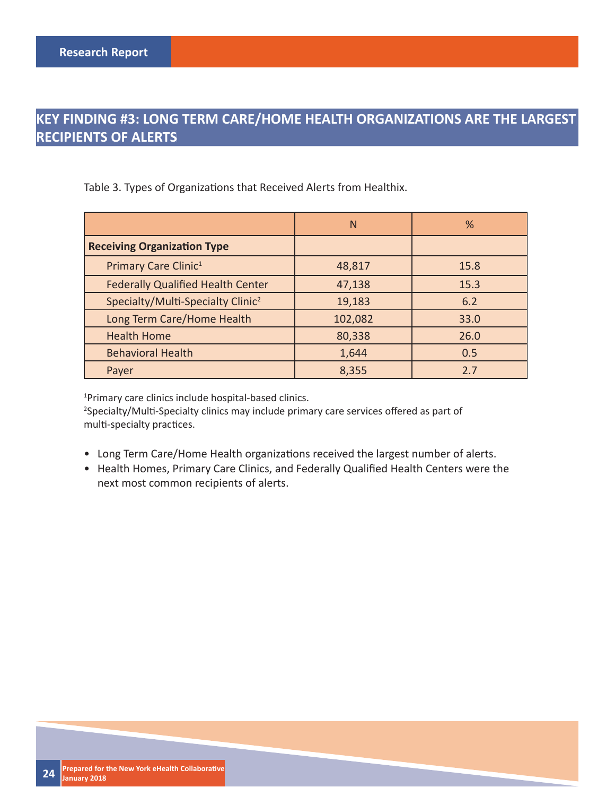### **KEY FINDING #3: LONG TERM CARE/HOME HEALTH ORGANIZATIONS ARE THE LARGEST RECIPIENTS OF ALERTS**

Table 3. Types of Organizations that Received Alerts from Healthix.

|                                               | N       | %    |
|-----------------------------------------------|---------|------|
| <b>Receiving Organization Type</b>            |         |      |
| Primary Care Clinic <sup>1</sup>              | 48,817  | 15.8 |
| <b>Federally Qualified Health Center</b>      | 47,138  | 15.3 |
| Specialty/Multi-Specialty Clinic <sup>2</sup> | 19,183  | 6.2  |
| Long Term Care/Home Health                    | 102,082 | 33.0 |
| <b>Health Home</b>                            | 80,338  | 26.0 |
| <b>Behavioral Health</b>                      | 1,644   | 0.5  |
| Payer                                         | 8,355   | 2.7  |

1 Primary care clinics include hospital-based clinics.

<sup>2</sup>Specialty/Multi-Specialty clinics may include primary care services offered as part of multi-specialty practices.

- Long Term Care/Home Health organizations received the largest number of alerts.
- Health Homes, Primary Care Clinics, and Federally Qualified Health Centers were the next most common recipients of alerts.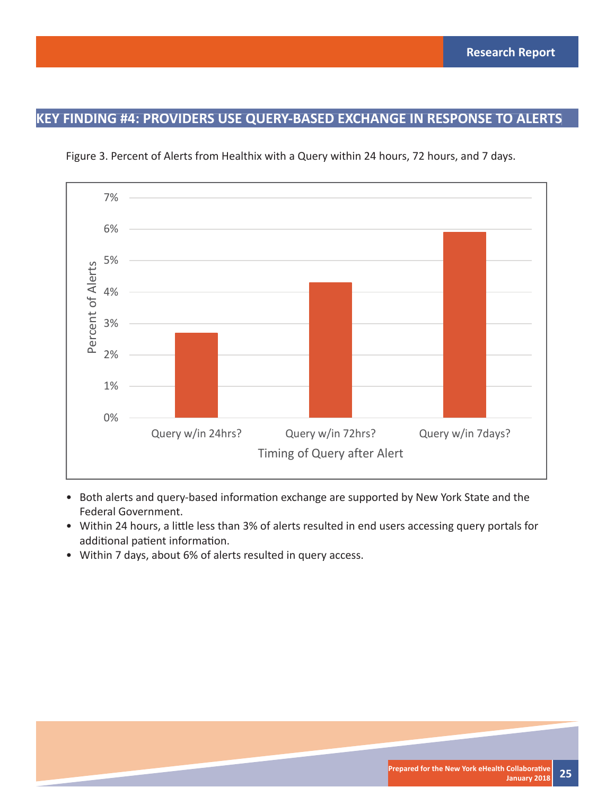### **KEY FINDING #4: PROVIDERS USE QUERY-BASED EXCHANGE IN RESPONSE TO ALERTS**



Figure 3. Percent of Alerts from Healthix with a Query within 24 hours, 72 hours, and 7 days.

- Both alerts and query-based information exchange are supported by New York State and the Federal Government.
- Within 24 hours, a little less than 3% of alerts resulted in end users accessing query portals for additional patient information.
- Within 7 days, about 6% of alerts resulted in query access.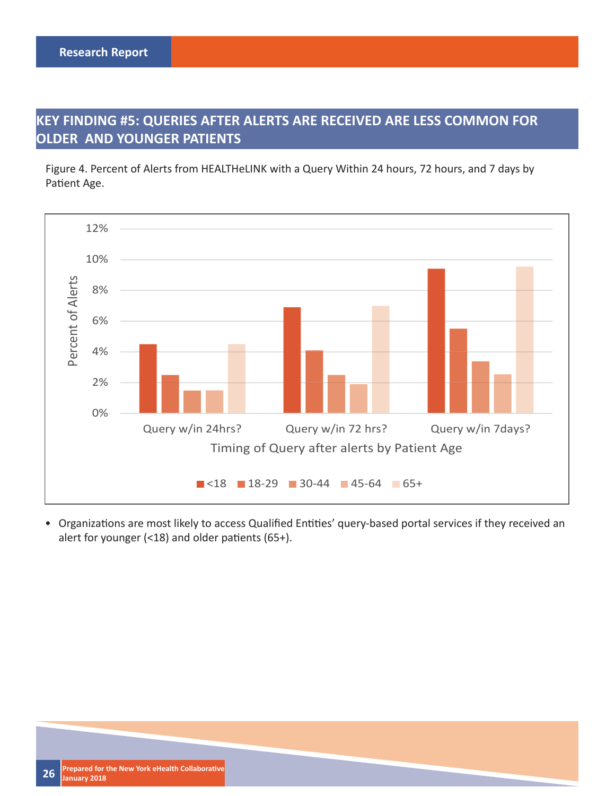### **KEY FINDING #5: QUERIES AFTER ALERTS ARE RECEIVED ARE LESS COMMON FOR OLDER AND YOUNGER PATIENTS**

Figure 4. Percent of Alerts from HEALTHeLINK with a Query Within 24 hours, 72 hours, and 7 days by Patient Age.



• Organizations are most likely to access Qualified Entities' query-based portal services if they received an alert for younger (<18) and older patients (65+).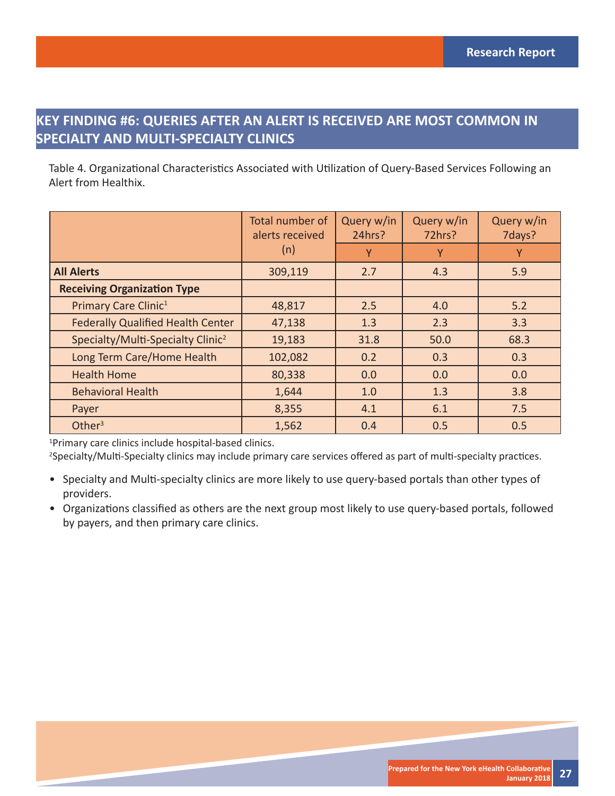### **KEY FINDING #6: QUERIES AFTER AN ALERT IS RECEIVED ARE MOST COMMON IN SPECIALTY AND MULTI-SPECIALTY CLINICS**

Table 4. Organizational Characteristics Associated with Utilization of Query-Based Services Following an Alert from Healthix.

|                                               | Total number of<br>alerts received | Query w/in<br>24hrs? | Query w/in<br>72hrs? | Query w/in<br>7days? |
|-----------------------------------------------|------------------------------------|----------------------|----------------------|----------------------|
|                                               | (n)                                | Y                    | Υ                    | Y                    |
| <b>All Alerts</b>                             | 309,119                            | 2.7                  | 4.3                  | 5.9                  |
| <b>Receiving Organization Type</b>            |                                    |                      |                      |                      |
| Primary Care Clinic <sup>1</sup>              | 48,817                             | 2.5                  | 4.0                  | 5.2                  |
| <b>Federally Qualified Health Center</b>      | 47,138                             | 1.3                  | 2.3                  | 3.3                  |
| Specialty/Multi-Specialty Clinic <sup>2</sup> | 19,183                             | 31.8                 | 50.0                 | 68.3                 |
| Long Term Care/Home Health                    | 102,082                            | 0.2                  | 0.3                  | 0.3                  |
| <b>Health Home</b>                            | 80,338                             | 0.0                  | 0.0                  | 0.0                  |
| <b>Behavioral Health</b>                      | 1,644                              | 1.0                  | 1.3                  | 3.8                  |
| Payer                                         | 8,355                              | 4.1                  | 6.1                  | 7.5                  |
| Other $3$                                     | 1,562                              | 0.4                  | 0.5                  | 0.5                  |

1 Primary care clinics include hospital-based clinics.

<sup>2</sup>Specialty/Multi-Specialty clinics may include primary care services offered as part of multi-specialty practices.

- Specialty and Multi-specialty clinics are more likely to use query-based portals than other types of providers.
- Organizations classified as others are the next group most likely to use query-based portals, followed by payers, and then primary care clinics.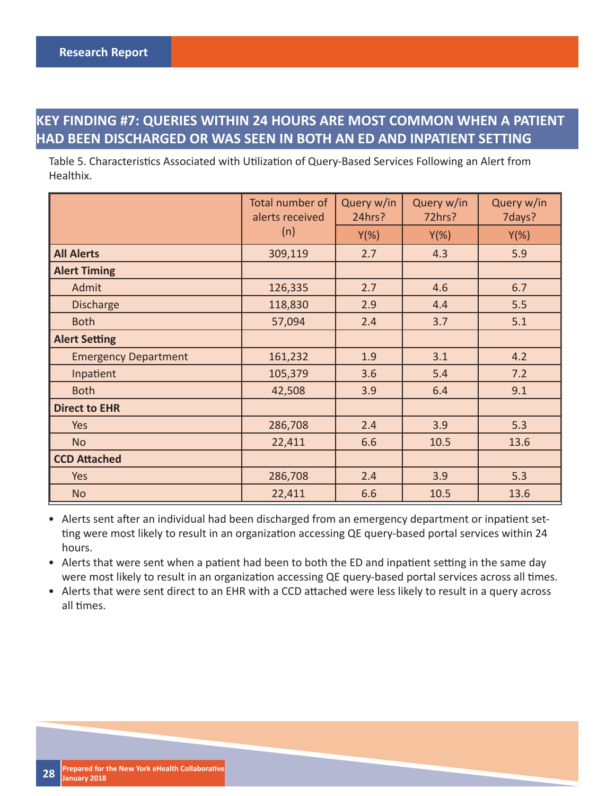### **KEY FINDING #7: QUERIES WITHIN 24 HOURS ARE MOST COMMON WHEN A PATIENT HAD BEEN DISCHARGED OR WAS SEEN IN BOTH AN ED AND INPATIENT SETTING**

Table 5. Characteristics Associated with Utilization of Query-Based Services Following an Alert from Healthix.

|                             | Total number of<br>alerts received | Query w/in<br>24hrs? | Query w/in<br>72hrs? | Query w/in<br>7days? |
|-----------------------------|------------------------------------|----------------------|----------------------|----------------------|
|                             | (n)                                | $Y(\%)$              | $Y(\%)$              | $Y(\%)$              |
| <b>All Alerts</b>           | 309,119                            | 2.7                  | 4.3                  | 5.9                  |
| <b>Alert Timing</b>         |                                    |                      |                      |                      |
| Admit                       | 126,335                            | 2.7                  | 4.6                  | 6.7                  |
| <b>Discharge</b>            | 118,830                            | 2.9                  | 4.4                  | 5.5                  |
| <b>Both</b>                 | 57,094                             | 2.4                  | 3.7                  | 5.1                  |
| <b>Alert Setting</b>        |                                    |                      |                      |                      |
| <b>Emergency Department</b> | 161,232                            | 1.9                  | 3.1                  | 4.2                  |
| Inpatient                   | 105,379                            | 3.6                  | 5.4                  | 7.2                  |
| <b>Both</b>                 | 42,508                             | 3.9                  | 6.4                  | 9.1                  |
| <b>Direct to EHR</b>        |                                    |                      |                      |                      |
| Yes                         | 286,708                            | 2.4                  | 3.9                  | 5.3                  |
| <b>No</b>                   | 22,411                             | 6.6                  | 10.5                 | 13.6                 |
| <b>CCD Attached</b>         |                                    |                      |                      |                      |
| <b>Yes</b>                  | 286,708                            | 2.4                  | 3.9                  | 5.3                  |
| <b>No</b>                   | 22,411                             | 6.6                  | 10.5                 | 13.6                 |

• Alerts sent after an individual had been discharged from an emergency department or inpatient setting were most likely to result in an organization accessing QE query-based portal services within 24 hours.

• Alerts that were sent when a patient had been to both the ED and inpatient setting in the same day were most likely to result in an organization accessing QE query-based portal services across all times.

• Alerts that were sent direct to an EHR with a CCD attached were less likely to result in a query across all times.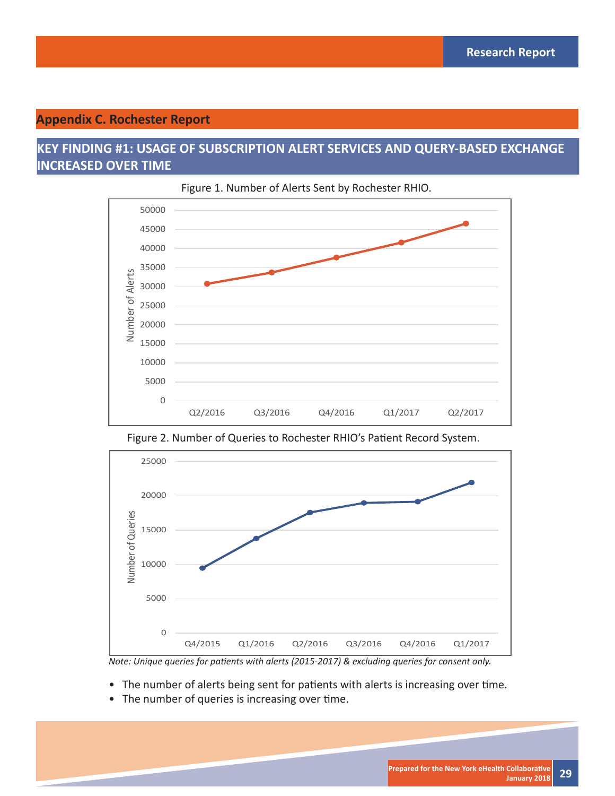#### **Appendix C. Rochester Report**

### **KEY FINDING #1: USAGE OF SUBSCRIPTION ALERT SERVICES AND QUERY-BASED EXCHANGE INCREASED OVER TIME**





Figure 2. Number of Queries to Rochester RHIO's Patient Record System.



*Note: Unique queries for patients with alerts (2015-2017) & excluding queries for consent only.* 

- The number of alerts being sent for patients with alerts is increasing over time.
- The number of queries is increasing over time.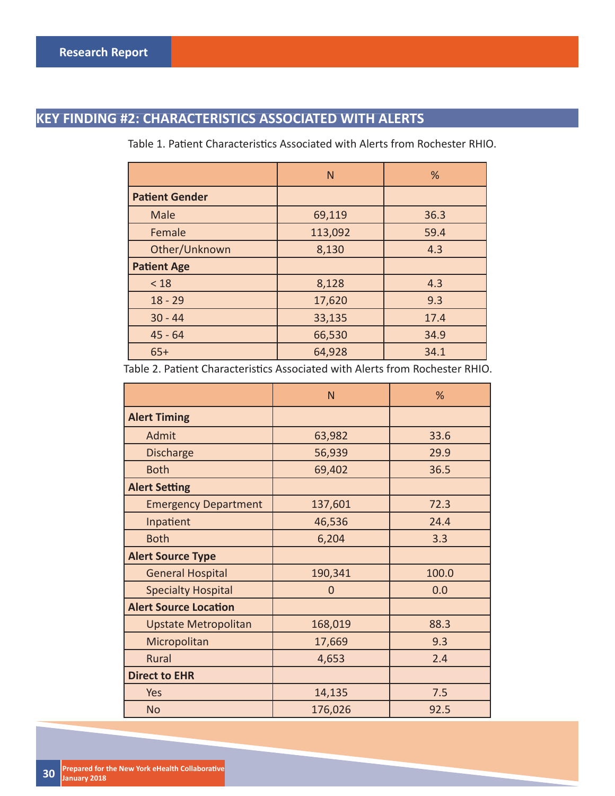## **KEY FINDING #2: CHARACTERISTICS ASSOCIATED WITH ALERTS**

|                       | N       | %    |
|-----------------------|---------|------|
| <b>Patient Gender</b> |         |      |
| Male                  | 69,119  | 36.3 |
| Female                | 113,092 | 59.4 |
| Other/Unknown         | 8,130   | 4.3  |
| <b>Patient Age</b>    |         |      |
| < 18                  | 8,128   | 4.3  |
| $18 - 29$             | 17,620  | 9.3  |
| $30 - 44$             | 33,135  | 17.4 |
| $45 - 64$             | 66,530  | 34.9 |
| $65+$                 | 64,928  | 34.1 |

Table 1. Patient Characteristics Associated with Alerts from Rochester RHIO.

| Table 2. Patient Characteristics Associated with Alerts from Rochester RHIO. |  |
|------------------------------------------------------------------------------|--|
|------------------------------------------------------------------------------|--|

|                              | N              | %     |
|------------------------------|----------------|-------|
| <b>Alert Timing</b>          |                |       |
| Admit                        | 63,982         | 33.6  |
| <b>Discharge</b>             | 56,939         | 29.9  |
| <b>Both</b>                  | 69,402         | 36.5  |
| <b>Alert Setting</b>         |                |       |
| <b>Emergency Department</b>  | 137,601        | 72.3  |
| Inpatient                    | 46,536         | 24.4  |
| <b>Both</b>                  | 6,204          | 3.3   |
| <b>Alert Source Type</b>     |                |       |
| <b>General Hospital</b>      | 190,341        | 100.0 |
| <b>Specialty Hospital</b>    | $\overline{0}$ | 0.0   |
| <b>Alert Source Location</b> |                |       |
| <b>Upstate Metropolitan</b>  | 168,019        | 88.3  |
| Micropolitan                 | 17,669         | 9.3   |
| Rural                        | 4,653          | 2.4   |
| <b>Direct to EHR</b>         |                |       |
| Yes                          | 14,135         | 7.5   |
| <b>No</b>                    | 176,026        | 92.5  |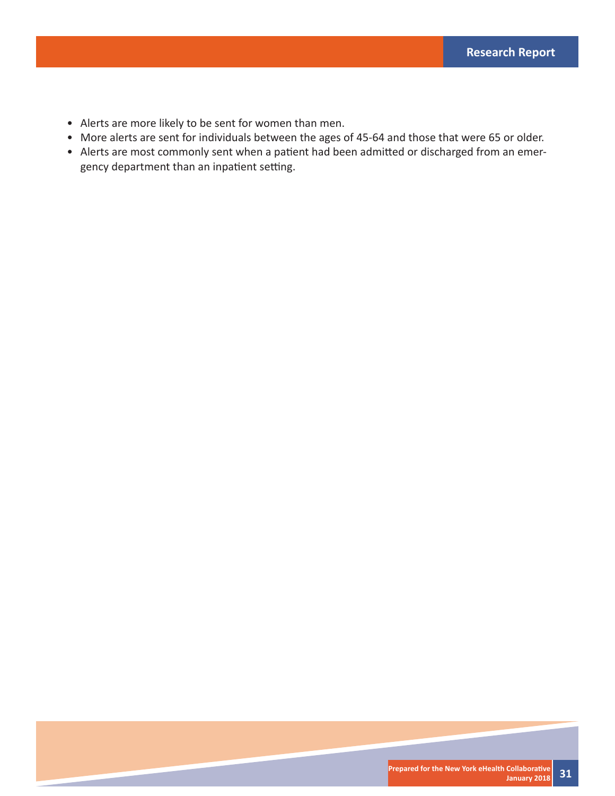- Alerts are more likely to be sent for women than men.
- More alerts are sent for individuals between the ages of 45-64 and those that were 65 or older.
- Alerts are most commonly sent when a patient had been admitted or discharged from an emergency department than an inpatient setting.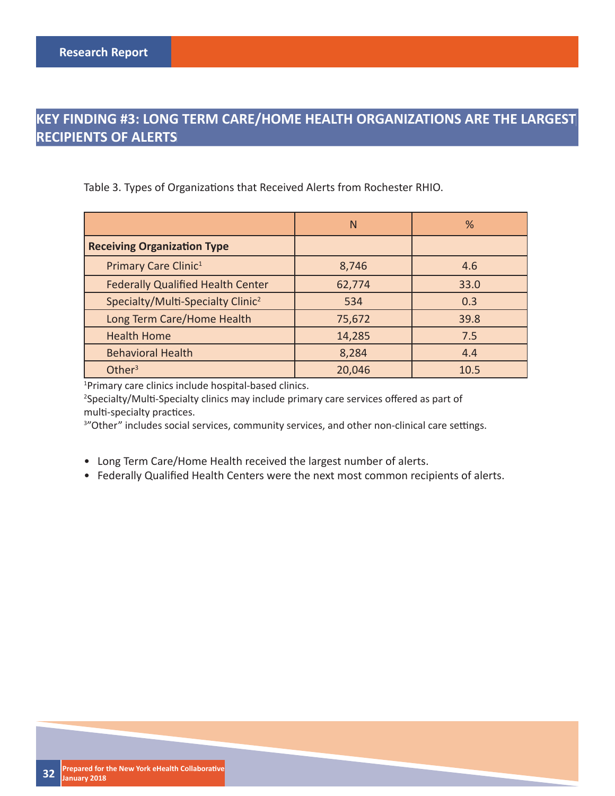### **KEY FINDING #3: LONG TERM CARE/HOME HEALTH ORGANIZATIONS ARE THE LARGEST RECIPIENTS OF ALERTS**

Table 3. Types of Organizations that Received Alerts from Rochester RHIO.

|                                               | N      | %    |
|-----------------------------------------------|--------|------|
| <b>Receiving Organization Type</b>            |        |      |
| Primary Care Clinic <sup>1</sup>              | 8,746  | 4.6  |
| <b>Federally Qualified Health Center</b>      | 62,774 | 33.0 |
| Specialty/Multi-Specialty Clinic <sup>2</sup> | 534    | 0.3  |
| Long Term Care/Home Health                    | 75,672 | 39.8 |
| <b>Health Home</b>                            | 14,285 | 7.5  |
| <b>Behavioral Health</b>                      | 8,284  | 4.4  |
| Other $3$                                     | 20,046 | 10.5 |

1 Primary care clinics include hospital-based clinics.

<sup>2</sup>Specialty/Multi-Specialty clinics may include primary care services offered as part of multi-specialty practices.

<sup>3</sup>"Other" includes social services, community services, and other non-clinical care settings.

- Long Term Care/Home Health received the largest number of alerts.
- Federally Qualified Health Centers were the next most common recipients of alerts.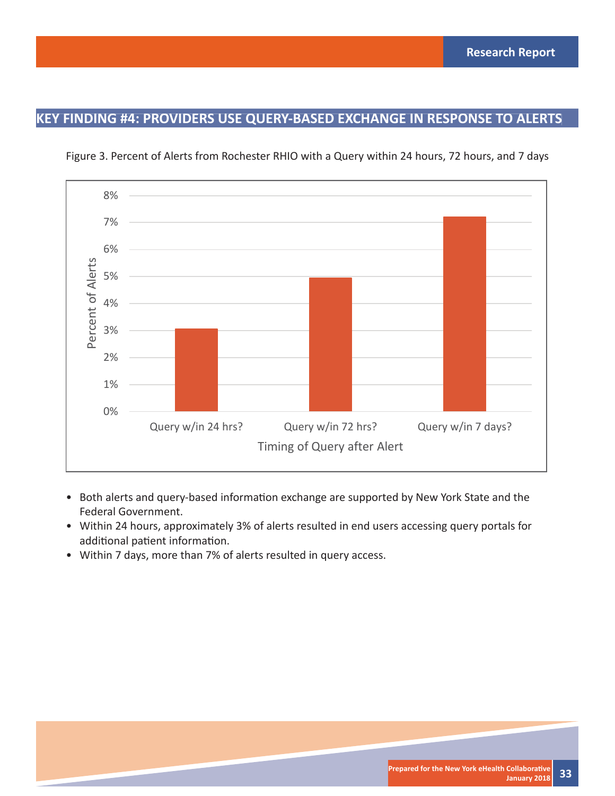### **KEY FINDING #4: PROVIDERS USE QUERY-BASED EXCHANGE IN RESPONSE TO ALERTS**



Figure 3. Percent of Alerts from Rochester RHIO with a Query within 24 hours, 72 hours, and 7 days

- Both alerts and query-based information exchange are supported by New York State and the Federal Government.
- Within 24 hours, approximately 3% of alerts resulted in end users accessing query portals for additional patient information.
- Within 7 days, more than 7% of alerts resulted in query access.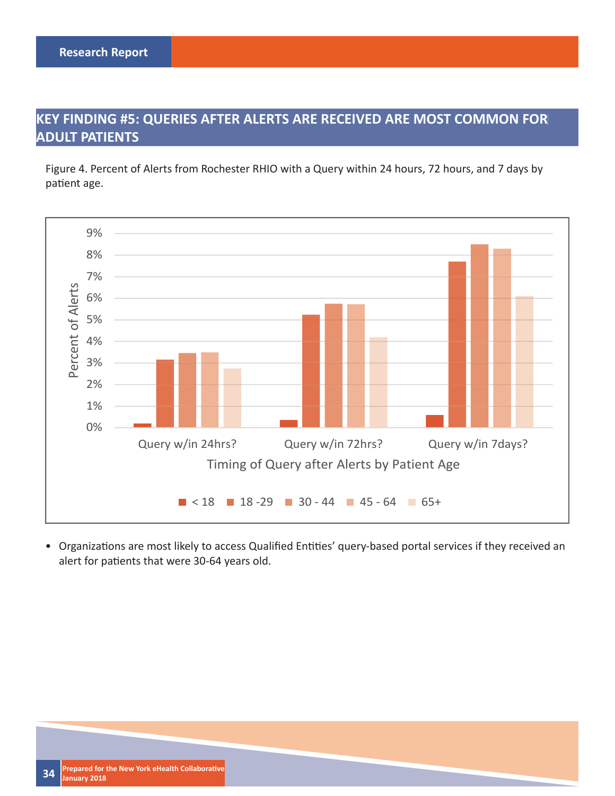### **KEY FINDING #5: QUERIES AFTER ALERTS ARE RECEIVED ARE MOST COMMON FOR ADULT PATIENTS**

Figure 4. Percent of Alerts from Rochester RHIO with a Query within 24 hours, 72 hours, and 7 days by patient age.



• Organizations are most likely to access Qualified Entities' query-based portal services if they received an alert for patients that were 30-64 years old.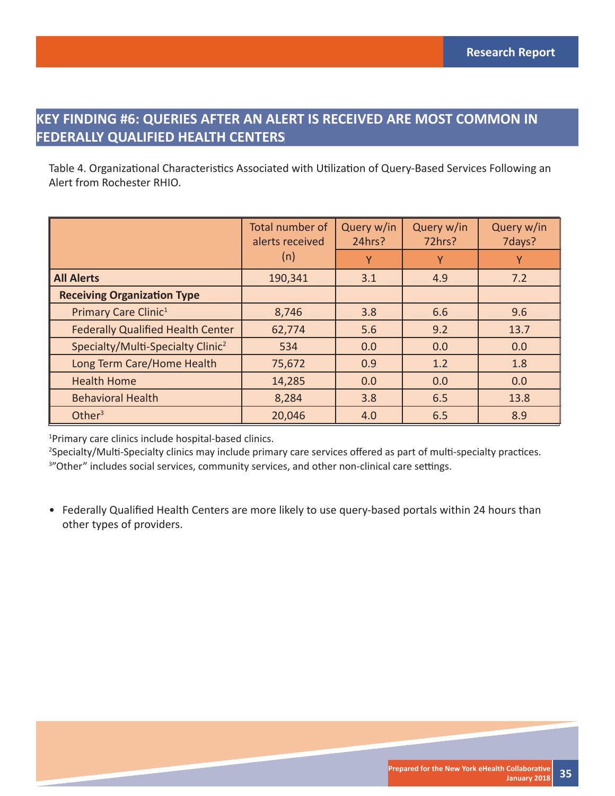### **KEY FINDING #6: QUERIES AFTER AN ALERT IS RECEIVED ARE MOST COMMON IN FEDERALLY QUALIFIED HEALTH CENTERS**

Table 4. Organizational Characteristics Associated with Utilization of Query-Based Services Following an Alert from Rochester RHIO.

|                                               | Total number of<br>alerts received | Query w/in<br>24hrs? | Query w/in<br>72hrs? | Query w/in<br>7days? |
|-----------------------------------------------|------------------------------------|----------------------|----------------------|----------------------|
|                                               | (n)                                | Υ                    |                      | Υ                    |
| <b>All Alerts</b>                             | 190,341                            | 3.1                  | 4.9                  | 7.2                  |
| <b>Receiving Organization Type</b>            |                                    |                      |                      |                      |
| Primary Care Clinic <sup>1</sup>              | 8,746                              | 3.8                  | 6.6                  | 9.6                  |
| <b>Federally Qualified Health Center</b>      | 62,774                             | 5.6                  | 9.2                  | 13.7                 |
| Specialty/Multi-Specialty Clinic <sup>2</sup> | 534                                | 0.0                  | 0.0                  | 0.0                  |
| Long Term Care/Home Health                    | 75,672                             | 0.9                  | 1.2                  | 1.8                  |
| <b>Health Home</b>                            | 14,285                             | 0.0                  | 0.0                  | 0.0                  |
| <b>Behavioral Health</b>                      | 8,284                              | 3.8                  | 6.5                  | 13.8                 |
| Other $3$                                     | 20,046                             | 4.0                  | 6.5                  | 8.9                  |

1 Primary care clinics include hospital-based clinics.

<sup>2</sup>Specialty/Multi-Specialty clinics may include primary care services offered as part of multi-specialty practices. <sup>3</sup>"Other" includes social services, community services, and other non-clinical care settings.

• Federally Qualified Health Centers are more likely to use query-based portals within 24 hours than other types of providers.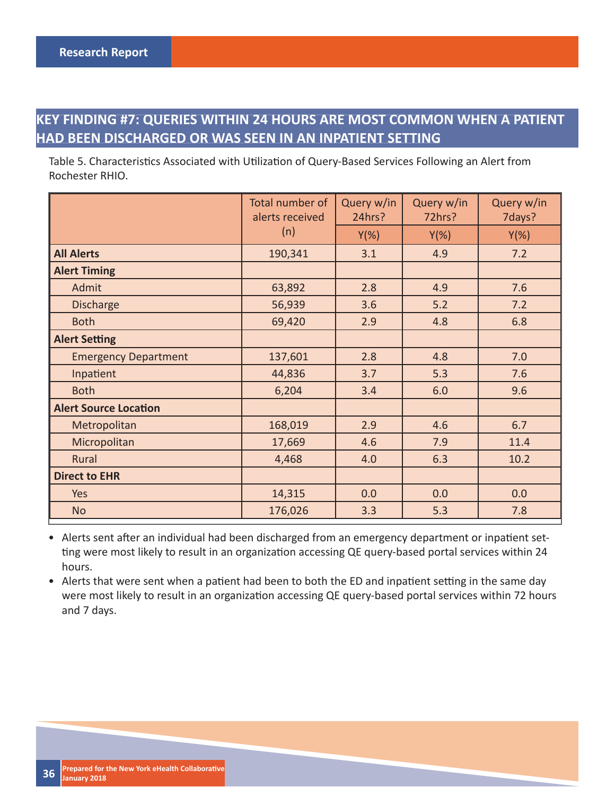### **KEY FINDING #7: QUERIES WITHIN 24 HOURS ARE MOST COMMON WHEN A PATIENT HAD BEEN DISCHARGED OR WAS SEEN IN AN INPATIENT SETTING**

Table 5. Characteristics Associated with Utilization of Query-Based Services Following an Alert from Rochester RHIO.

|                              | Total number of<br>alerts received | Query w/in<br>24hrs? | Query w/in<br>72hrs? | Query w/in<br>7days? |
|------------------------------|------------------------------------|----------------------|----------------------|----------------------|
|                              | (n)                                | $Y(\%)$              | $Y(\%)$              | $Y(\%)$              |
| <b>All Alerts</b>            | 190,341                            | 3.1                  | 4.9                  | 7.2                  |
| <b>Alert Timing</b>          |                                    |                      |                      |                      |
| Admit                        | 63,892                             | 2.8                  | 4.9                  | 7.6                  |
| <b>Discharge</b>             | 56,939                             | 3.6                  | $5.2$                | 7.2                  |
| <b>Both</b>                  | 69,420                             | 2.9                  | 4.8                  | 6.8                  |
| <b>Alert Setting</b>         |                                    |                      |                      |                      |
| <b>Emergency Department</b>  | 137,601                            | 2.8                  | 4.8                  | 7.0                  |
| Inpatient                    | 44,836                             | 3.7                  | 5.3                  | 7.6                  |
| <b>Both</b>                  | 6,204                              | 3.4                  | 6.0                  | 9.6                  |
| <b>Alert Source Location</b> |                                    |                      |                      |                      |
| Metropolitan                 | 168,019                            | 2.9                  | 4.6                  | 6.7                  |
| Micropolitan                 | 17,669                             | 4.6                  | 7.9                  | 11.4                 |
| Rural                        | 4,468                              | 4.0                  | 6.3                  | 10.2                 |
| <b>Direct to EHR</b>         |                                    |                      |                      |                      |
| Yes                          | 14,315                             | 0.0                  | 0.0                  | 0.0                  |
| <b>No</b>                    | 176,026                            | 3.3                  | 5.3                  | 7.8                  |

• Alerts sent after an individual had been discharged from an emergency department or inpatient setting were most likely to result in an organization accessing QE query-based portal services within 24 hours.

• Alerts that were sent when a patient had been to both the ED and inpatient setting in the same day were most likely to result in an organization accessing QE query-based portal services within 72 hours and 7 days.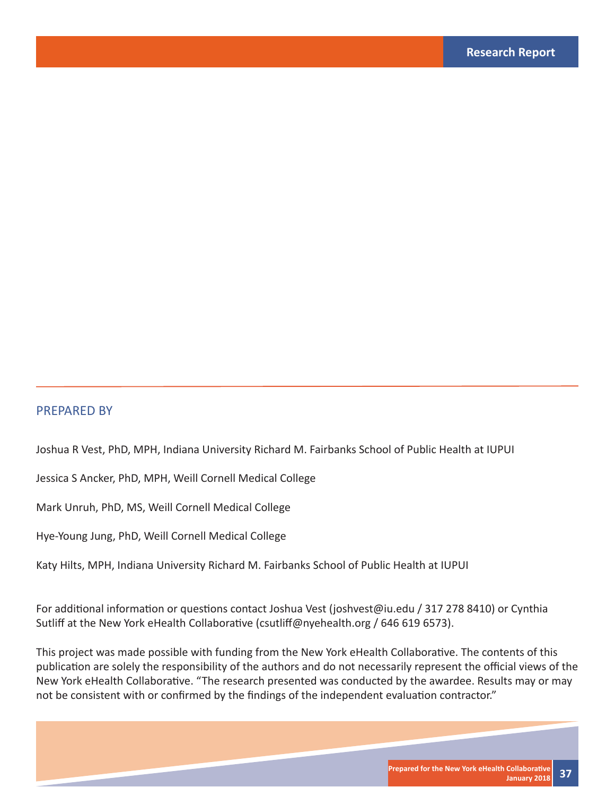#### PREPARED BY

Joshua R Vest, PhD, MPH, Indiana University Richard M. Fairbanks School of Public Health at IUPUI

Jessica S Ancker, PhD, MPH, Weill Cornell Medical College

Mark Unruh, PhD, MS, Weill Cornell Medical College

Hye-Young Jung, PhD, Weill Cornell Medical College

Katy Hilts, MPH, Indiana University Richard M. Fairbanks School of Public Health at IUPUI

For additional information or questions contact Joshua Vest (joshvest@iu.edu / 317 278 8410) or Cynthia Sutliff at the New York eHealth Collaborative (csutliff@nyehealth.org / 646 619 6573).

This project was made possible with funding from the New York eHealth Collaborative. The contents of this publication are solely the responsibility of the authors and do not necessarily represent the official views of the New York eHealth Collaborative. "The research presented was conducted by the awardee. Results may or may not be consistent with or confirmed by the findings of the independent evaluation contractor."